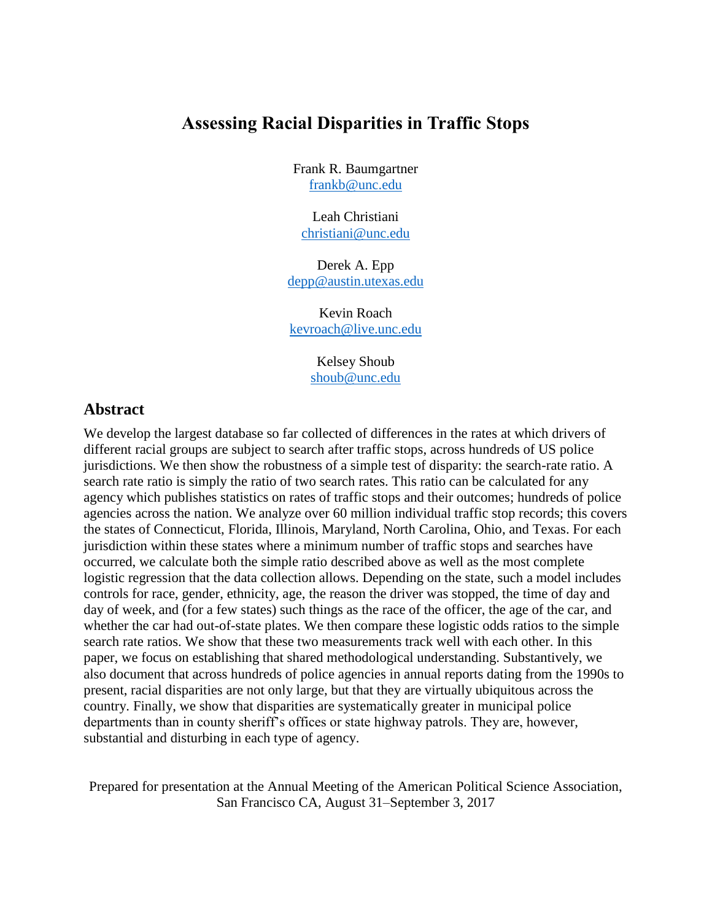# **Assessing Racial Disparities in Traffic Stops**

Frank R. Baumgartner [frankb@unc.edu](mailto:frankb@unc.edu)

Leah Christiani [christiani@unc.edu](mailto:christiani@unc.edu)

Derek A. Epp [depp@austin.utexas.edu](mailto:depp@austin.utexas.edu)

Kevin Roach [kevroach@live.unc.edu](mailto:kevroach@live.unc.edu)

> Kelsey Shoub [shoub@unc.edu](mailto:shoub@unc.edu)

# **Abstract**

We develop the largest database so far collected of differences in the rates at which drivers of different racial groups are subject to search after traffic stops, across hundreds of US police jurisdictions. We then show the robustness of a simple test of disparity: the search-rate ratio. A search rate ratio is simply the ratio of two search rates. This ratio can be calculated for any agency which publishes statistics on rates of traffic stops and their outcomes; hundreds of police agencies across the nation. We analyze over 60 million individual traffic stop records; this covers the states of Connecticut, Florida, Illinois, Maryland, North Carolina, Ohio, and Texas. For each jurisdiction within these states where a minimum number of traffic stops and searches have occurred, we calculate both the simple ratio described above as well as the most complete logistic regression that the data collection allows. Depending on the state, such a model includes controls for race, gender, ethnicity, age, the reason the driver was stopped, the time of day and day of week, and (for a few states) such things as the race of the officer, the age of the car, and whether the car had out-of-state plates. We then compare these logistic odds ratios to the simple search rate ratios. We show that these two measurements track well with each other. In this paper, we focus on establishing that shared methodological understanding. Substantively, we also document that across hundreds of police agencies in annual reports dating from the 1990s to present, racial disparities are not only large, but that they are virtually ubiquitous across the country. Finally, we show that disparities are systematically greater in municipal police departments than in county sheriff's offices or state highway patrols. They are, however, substantial and disturbing in each type of agency.

Prepared for presentation at the Annual Meeting of the American Political Science Association, San Francisco CA, August 31–September 3, 2017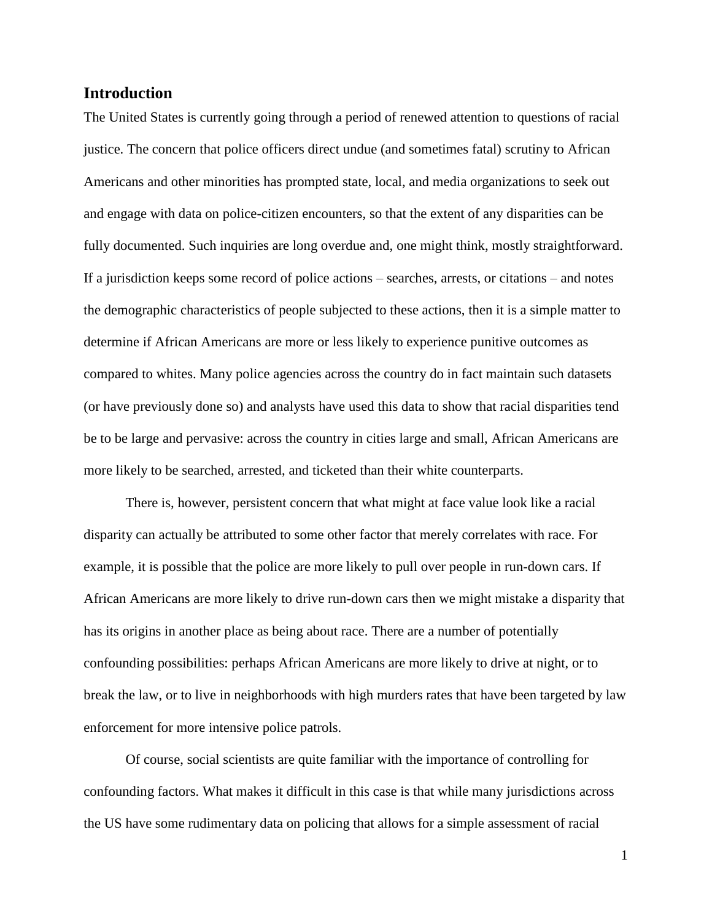## **Introduction**

The United States is currently going through a period of renewed attention to questions of racial justice. The concern that police officers direct undue (and sometimes fatal) scrutiny to African Americans and other minorities has prompted state, local, and media organizations to seek out and engage with data on police-citizen encounters, so that the extent of any disparities can be fully documented. Such inquiries are long overdue and, one might think, mostly straightforward. If a jurisdiction keeps some record of police actions – searches, arrests, or citations – and notes the demographic characteristics of people subjected to these actions, then it is a simple matter to determine if African Americans are more or less likely to experience punitive outcomes as compared to whites. Many police agencies across the country do in fact maintain such datasets (or have previously done so) and analysts have used this data to show that racial disparities tend be to be large and pervasive: across the country in cities large and small, African Americans are more likely to be searched, arrested, and ticketed than their white counterparts.

There is, however, persistent concern that what might at face value look like a racial disparity can actually be attributed to some other factor that merely correlates with race. For example, it is possible that the police are more likely to pull over people in run-down cars. If African Americans are more likely to drive run-down cars then we might mistake a disparity that has its origins in another place as being about race. There are a number of potentially confounding possibilities: perhaps African Americans are more likely to drive at night, or to break the law, or to live in neighborhoods with high murders rates that have been targeted by law enforcement for more intensive police patrols.

Of course, social scientists are quite familiar with the importance of controlling for confounding factors. What makes it difficult in this case is that while many jurisdictions across the US have some rudimentary data on policing that allows for a simple assessment of racial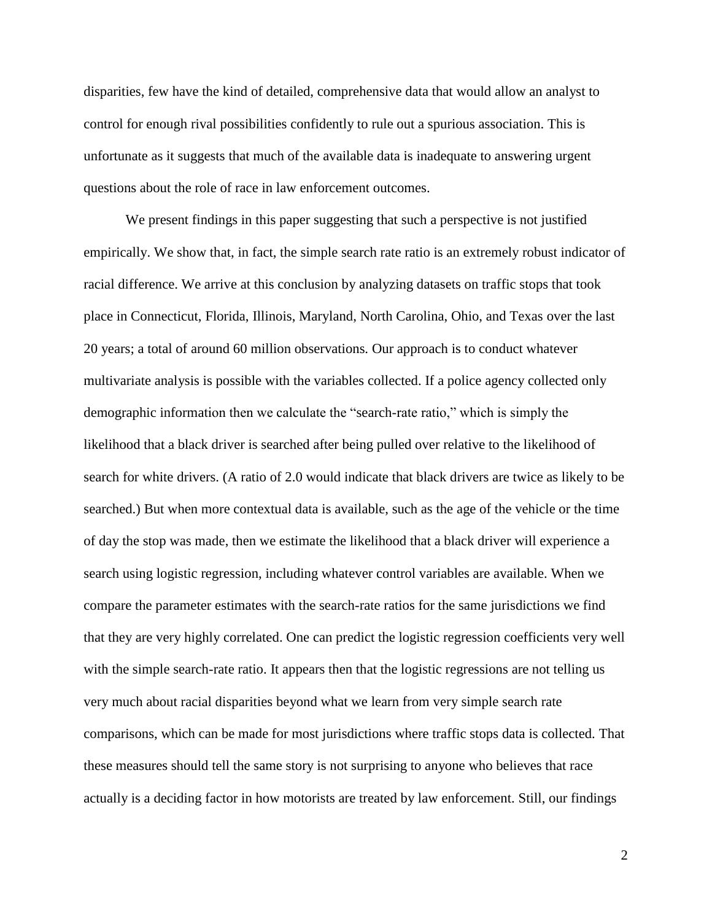disparities, few have the kind of detailed, comprehensive data that would allow an analyst to control for enough rival possibilities confidently to rule out a spurious association. This is unfortunate as it suggests that much of the available data is inadequate to answering urgent questions about the role of race in law enforcement outcomes.

We present findings in this paper suggesting that such a perspective is not justified empirically. We show that, in fact, the simple search rate ratio is an extremely robust indicator of racial difference. We arrive at this conclusion by analyzing datasets on traffic stops that took place in Connecticut, Florida, Illinois, Maryland, North Carolina, Ohio, and Texas over the last 20 years; a total of around 60 million observations. Our approach is to conduct whatever multivariate analysis is possible with the variables collected. If a police agency collected only demographic information then we calculate the "search-rate ratio," which is simply the likelihood that a black driver is searched after being pulled over relative to the likelihood of search for white drivers. (A ratio of 2.0 would indicate that black drivers are twice as likely to be searched.) But when more contextual data is available, such as the age of the vehicle or the time of day the stop was made, then we estimate the likelihood that a black driver will experience a search using logistic regression, including whatever control variables are available. When we compare the parameter estimates with the search-rate ratios for the same jurisdictions we find that they are very highly correlated. One can predict the logistic regression coefficients very well with the simple search-rate ratio. It appears then that the logistic regressions are not telling us very much about racial disparities beyond what we learn from very simple search rate comparisons, which can be made for most jurisdictions where traffic stops data is collected. That these measures should tell the same story is not surprising to anyone who believes that race actually is a deciding factor in how motorists are treated by law enforcement. Still, our findings

2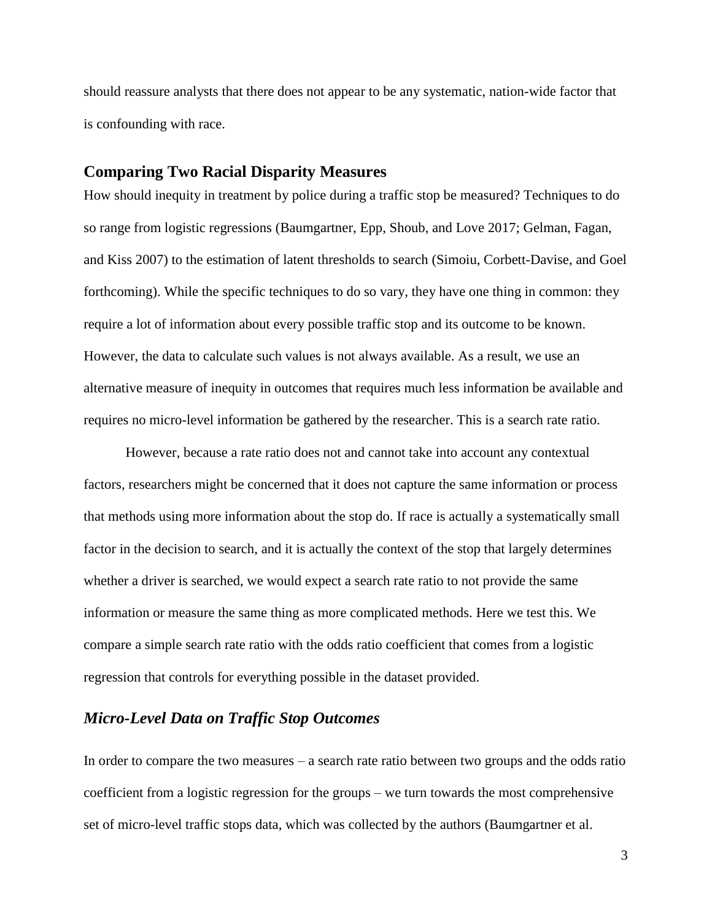should reassure analysts that there does not appear to be any systematic, nation-wide factor that is confounding with race.

### **Comparing Two Racial Disparity Measures**

How should inequity in treatment by police during a traffic stop be measured? Techniques to do so range from logistic regressions (Baumgartner, Epp, Shoub, and Love 2017; Gelman, Fagan, and Kiss 2007) to the estimation of latent thresholds to search (Simoiu, Corbett-Davise, and Goel forthcoming). While the specific techniques to do so vary, they have one thing in common: they require a lot of information about every possible traffic stop and its outcome to be known. However, the data to calculate such values is not always available. As a result, we use an alternative measure of inequity in outcomes that requires much less information be available and requires no micro-level information be gathered by the researcher. This is a search rate ratio.

However, because a rate ratio does not and cannot take into account any contextual factors, researchers might be concerned that it does not capture the same information or process that methods using more information about the stop do. If race is actually a systematically small factor in the decision to search, and it is actually the context of the stop that largely determines whether a driver is searched, we would expect a search rate ratio to not provide the same information or measure the same thing as more complicated methods. Here we test this. We compare a simple search rate ratio with the odds ratio coefficient that comes from a logistic regression that controls for everything possible in the dataset provided.

# *Micro-Level Data on Traffic Stop Outcomes*

In order to compare the two measures – a search rate ratio between two groups and the odds ratio coefficient from a logistic regression for the groups – we turn towards the most comprehensive set of micro-level traffic stops data, which was collected by the authors (Baumgartner et al.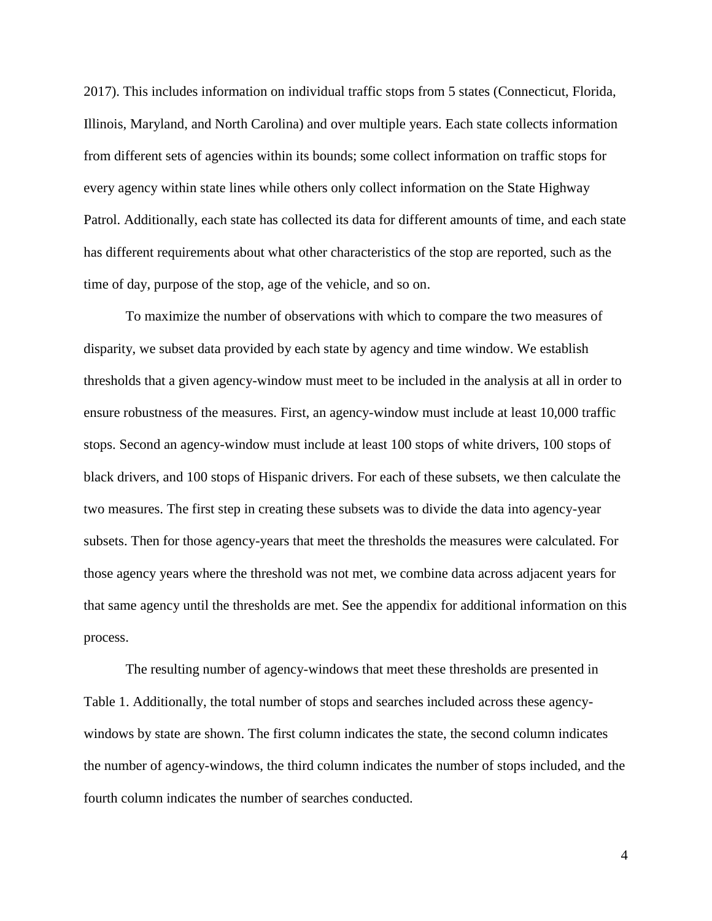2017). This includes information on individual traffic stops from 5 states (Connecticut, Florida, Illinois, Maryland, and North Carolina) and over multiple years. Each state collects information from different sets of agencies within its bounds; some collect information on traffic stops for every agency within state lines while others only collect information on the State Highway Patrol. Additionally, each state has collected its data for different amounts of time, and each state has different requirements about what other characteristics of the stop are reported, such as the time of day, purpose of the stop, age of the vehicle, and so on.

To maximize the number of observations with which to compare the two measures of disparity, we subset data provided by each state by agency and time window. We establish thresholds that a given agency-window must meet to be included in the analysis at all in order to ensure robustness of the measures. First, an agency-window must include at least 10,000 traffic stops. Second an agency-window must include at least 100 stops of white drivers, 100 stops of black drivers, and 100 stops of Hispanic drivers. For each of these subsets, we then calculate the two measures. The first step in creating these subsets was to divide the data into agency-year subsets. Then for those agency-years that meet the thresholds the measures were calculated. For those agency years where the threshold was not met, we combine data across adjacent years for that same agency until the thresholds are met. See the appendix for additional information on this process.

The resulting number of agency-windows that meet these thresholds are presented in Table 1. Additionally, the total number of stops and searches included across these agencywindows by state are shown. The first column indicates the state, the second column indicates the number of agency-windows, the third column indicates the number of stops included, and the fourth column indicates the number of searches conducted.

4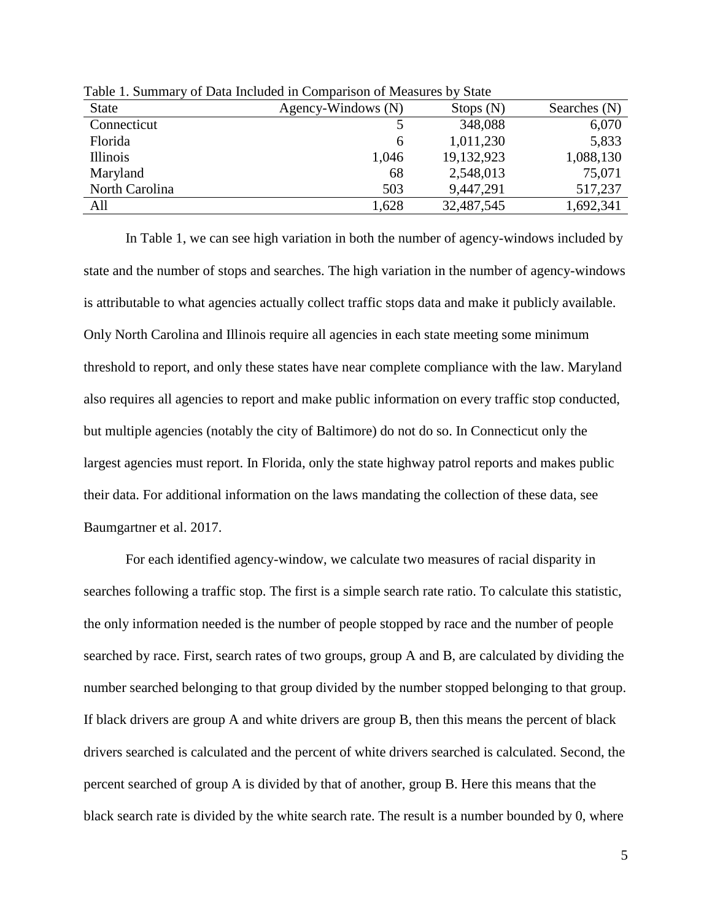| <b>State</b>   | Agency-Windows (N) | Stops $(N)$ | Searches $(N)$ |
|----------------|--------------------|-------------|----------------|
| Connecticut    |                    | 348,088     | 6,070          |
| Florida        | <sub>0</sub>       | 1,011,230   | 5,833          |
| Illinois       | 1,046              | 19,132,923  | 1,088,130      |
| Maryland       | 68                 | 2,548,013   | 75,071         |
| North Carolina | 503                | 9,447,291   | 517,237        |
| All            | 1,628              | 32,487,545  | 1,692,341      |

Table 1. Summary of Data Included in Comparison of Measures by State

In Table 1, we can see high variation in both the number of agency-windows included by state and the number of stops and searches. The high variation in the number of agency-windows is attributable to what agencies actually collect traffic stops data and make it publicly available. Only North Carolina and Illinois require all agencies in each state meeting some minimum threshold to report, and only these states have near complete compliance with the law. Maryland also requires all agencies to report and make public information on every traffic stop conducted, but multiple agencies (notably the city of Baltimore) do not do so. In Connecticut only the largest agencies must report. In Florida, only the state highway patrol reports and makes public their data. For additional information on the laws mandating the collection of these data, see Baumgartner et al. 2017.

For each identified agency-window, we calculate two measures of racial disparity in searches following a traffic stop. The first is a simple search rate ratio. To calculate this statistic, the only information needed is the number of people stopped by race and the number of people searched by race. First, search rates of two groups, group A and B, are calculated by dividing the number searched belonging to that group divided by the number stopped belonging to that group. If black drivers are group A and white drivers are group B, then this means the percent of black drivers searched is calculated and the percent of white drivers searched is calculated. Second, the percent searched of group A is divided by that of another, group B. Here this means that the black search rate is divided by the white search rate. The result is a number bounded by 0, where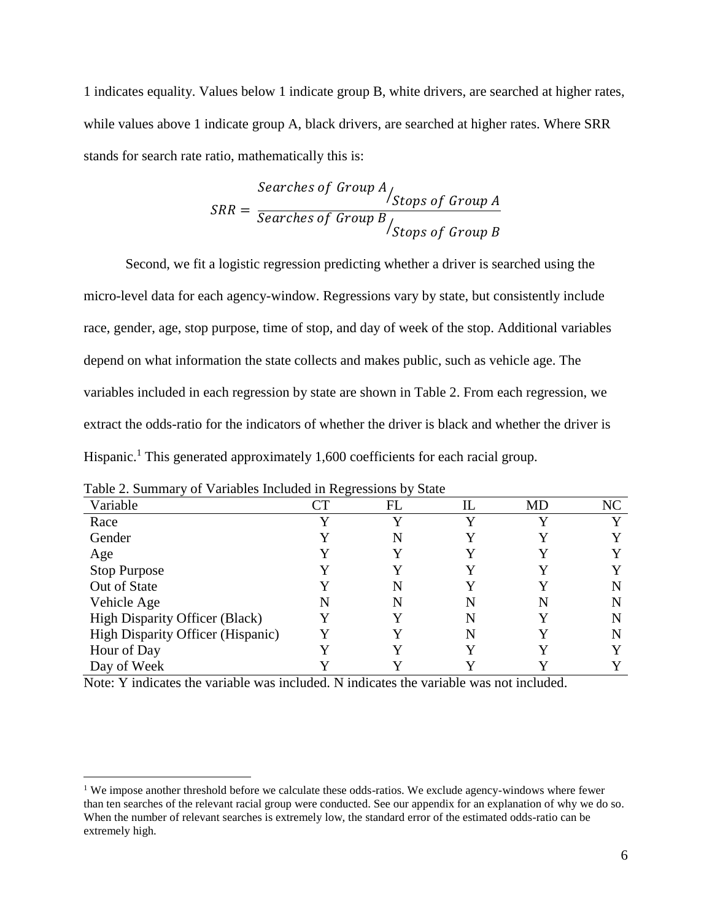1 indicates equality. Values below 1 indicate group B, white drivers, are searched at higher rates, while values above 1 indicate group A, black drivers, are searched at higher rates. Where SRR stands for search rate ratio, mathematically this is:

$$
SRR = \frac{Searches \ of \ Group \ A}{Searches \ of \ Group \ B} / \nStops \ of \ Group \ B}
$$

Second, we fit a logistic regression predicting whether a driver is searched using the micro-level data for each agency-window. Regressions vary by state, but consistently include race, gender, age, stop purpose, time of stop, and day of week of the stop. Additional variables depend on what information the state collects and makes public, such as vehicle age. The variables included in each regression by state are shown in Table 2. From each regression, we extract the odds-ratio for the indicators of whether the driver is black and whether the driver is Hispanic.<sup>1</sup> This generated approximately 1,600 coefficients for each racial group.

| Variable                                 | $\Box\top$ | FL | IL | MD | NC |
|------------------------------------------|------------|----|----|----|----|
| Race                                     |            |    |    |    |    |
| Gender                                   |            |    |    |    |    |
| Age                                      |            |    |    |    |    |
| <b>Stop Purpose</b>                      |            |    |    |    |    |
| Out of State                             |            |    |    |    |    |
| Vehicle Age                              |            |    |    | N  |    |
| High Disparity Officer (Black)           |            |    |    |    | N  |
| <b>High Disparity Officer (Hispanic)</b> |            |    |    |    |    |
| Hour of Day                              |            |    |    |    |    |
| Day of Week                              |            |    |    |    |    |

| Table 2. Summary of Variables Included in Regressions by State |
|----------------------------------------------------------------|
|----------------------------------------------------------------|

 $\overline{a}$ 

Note: Y indicates the variable was included. N indicates the variable was not included.

<sup>&</sup>lt;sup>1</sup> We impose another threshold before we calculate these odds-ratios. We exclude agency-windows where fewer than ten searches of the relevant racial group were conducted. See our appendix for an explanation of why we do so. When the number of relevant searches is extremely low, the standard error of the estimated odds-ratio can be extremely high.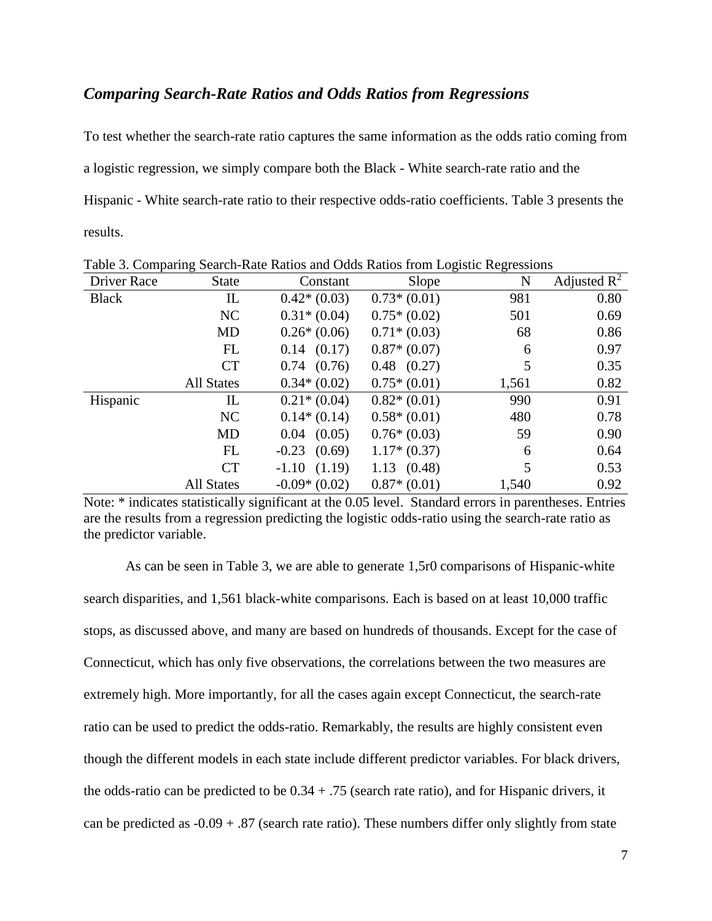# *Comparing Search-Rate Ratios and Odds Ratios from Regressions*

To test whether the search-rate ratio captures the same information as the odds ratio coming from a logistic regression, we simply compare both the Black - White search-rate ratio and the Hispanic - White search-rate ratio to their respective odds-ratio coefficients. Table 3 presents the results.

| <b>Driver Race</b> | <b>State</b>      | Constant         | Slope           | N     | Adjusted $R^2$ |
|--------------------|-------------------|------------------|-----------------|-------|----------------|
| <b>Black</b>       | IL                | $0.42*(0.03)$    | $0.73*(0.01)$   | 981   | 0.80           |
|                    | NC                | $0.31*(0.04)$    | $0.75*(0.02)$   | 501   | 0.69           |
|                    | <b>MD</b>         | $0.26*(0.06)$    | $0.71*(0.03)$   | 68    | 0.86           |
|                    | FL                | $0.14$ $(0.17)$  | $0.87*(0.07)$   | 6     | 0.97           |
|                    | <b>CT</b>         | $0.74$ $(0.76)$  | $0.48$ $(0.27)$ | 5     | 0.35           |
|                    | <b>All States</b> | $0.34*(0.02)$    | $0.75*(0.01)$   | 1,561 | 0.82           |
| Hispanic           | IL                | $0.21*(0.04)$    | $0.82*(0.01)$   | 990   | 0.91           |
|                    | NC                | $0.14*(0.14)$    | $0.58*(0.01)$   | 480   | 0.78           |
|                    | <b>MD</b>         | $0.04$ $(0.05)$  | $0.76*(0.03)$   | 59    | 0.90           |
|                    | FL                | $-0.23$ $(0.69)$ | $1.17*(0.37)$   | 6     | 0.64           |
|                    | <b>CT</b>         | $-1.10(1.19)$    | 1.13(0.48)      | 5     | 0.53           |
|                    | <b>All States</b> | $-0.09*(0.02)$   | $0.87*(0.01)$   | 1,540 | 0.92           |

Table 3. Comparing Search-Rate Ratios and Odds Ratios from Logistic Regressions

Note: \* indicates statistically significant at the 0.05 level. Standard errors in parentheses. Entries are the results from a regression predicting the logistic odds-ratio using the search-rate ratio as the predictor variable.

As can be seen in Table 3, we are able to generate 1,5r0 comparisons of Hispanic-white search disparities, and 1,561 black-white comparisons. Each is based on at least 10,000 traffic stops, as discussed above, and many are based on hundreds of thousands. Except for the case of Connecticut, which has only five observations, the correlations between the two measures are extremely high. More importantly, for all the cases again except Connecticut, the search-rate ratio can be used to predict the odds-ratio. Remarkably, the results are highly consistent even though the different models in each state include different predictor variables. For black drivers, the odds-ratio can be predicted to be  $0.34 + .75$  (search rate ratio), and for Hispanic drivers, it can be predicted as  $-0.09 + .87$  (search rate ratio). These numbers differ only slightly from state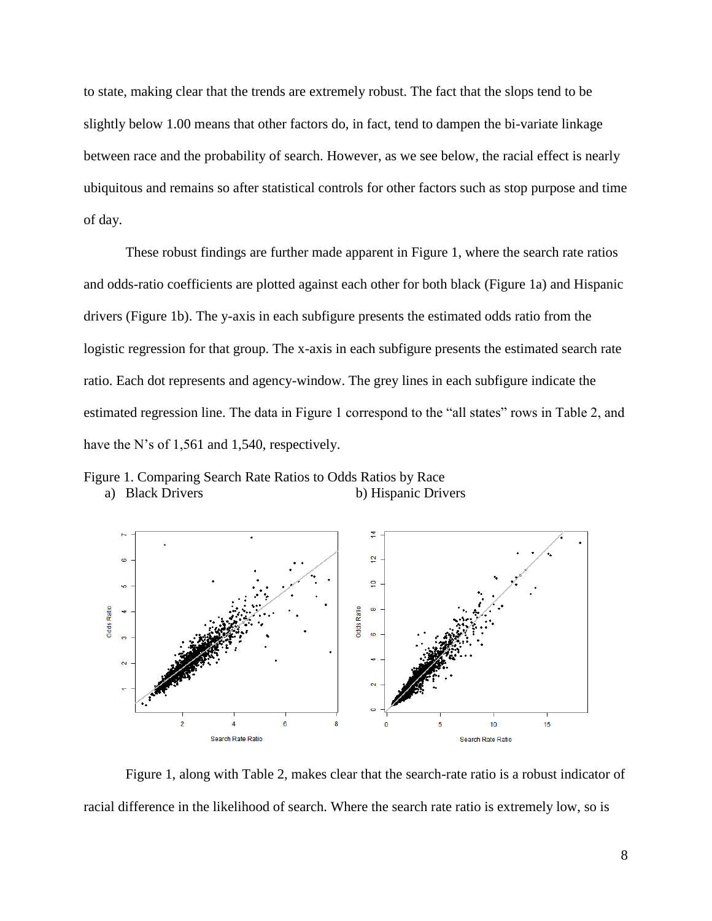to state, making clear that the trends are extremely robust. The fact that the slops tend to be slightly below 1.00 means that other factors do, in fact, tend to dampen the bi-variate linkage between race and the probability of search. However, as we see below, the racial effect is nearly ubiquitous and remains so after statistical controls for other factors such as stop purpose and time of day.

These robust findings are further made apparent in Figure 1, where the search rate ratios and odds-ratio coefficients are plotted against each other for both black (Figure 1a) and Hispanic drivers (Figure 1b). The y-axis in each subfigure presents the estimated odds ratio from the logistic regression for that group. The x-axis in each subfigure presents the estimated search rate ratio. Each dot represents and agency-window. The grey lines in each subfigure indicate the estimated regression line. The data in Figure 1 correspond to the "all states" rows in Table 2, and have the N's of 1,561 and 1,540, respectively.

Figure 1. Comparing Search Rate Ratios to Odds Ratios by Race a) Black Drivers b) Hispanic Drivers



Figure 1, along with Table 2, makes clear that the search-rate ratio is a robust indicator of racial difference in the likelihood of search. Where the search rate ratio is extremely low, so is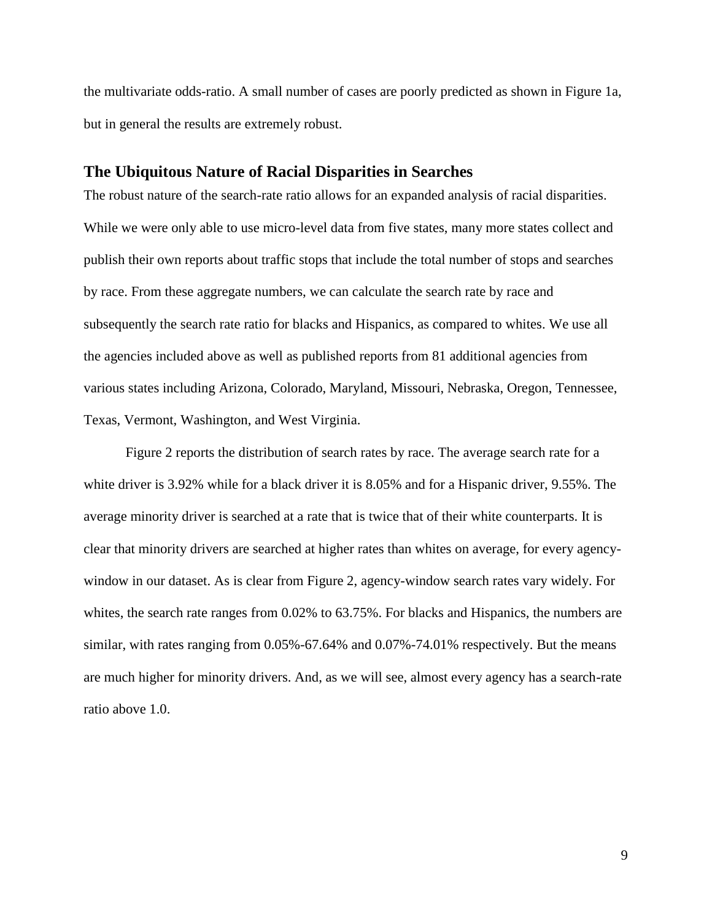the multivariate odds-ratio. A small number of cases are poorly predicted as shown in Figure 1a, but in general the results are extremely robust.

### **The Ubiquitous Nature of Racial Disparities in Searches**

The robust nature of the search-rate ratio allows for an expanded analysis of racial disparities. While we were only able to use micro-level data from five states, many more states collect and publish their own reports about traffic stops that include the total number of stops and searches by race. From these aggregate numbers, we can calculate the search rate by race and subsequently the search rate ratio for blacks and Hispanics, as compared to whites. We use all the agencies included above as well as published reports from 81 additional agencies from various states including Arizona, Colorado, Maryland, Missouri, Nebraska, Oregon, Tennessee, Texas, Vermont, Washington, and West Virginia.

Figure 2 reports the distribution of search rates by race. The average search rate for a white driver is 3.92% while for a black driver it is 8.05% and for a Hispanic driver, 9.55%. The average minority driver is searched at a rate that is twice that of their white counterparts. It is clear that minority drivers are searched at higher rates than whites on average, for every agencywindow in our dataset. As is clear from Figure 2, agency-window search rates vary widely. For whites, the search rate ranges from 0.02% to 63.75%. For blacks and Hispanics, the numbers are similar, with rates ranging from 0.05%-67.64% and 0.07%-74.01% respectively. But the means are much higher for minority drivers. And, as we will see, almost every agency has a search-rate ratio above 1.0.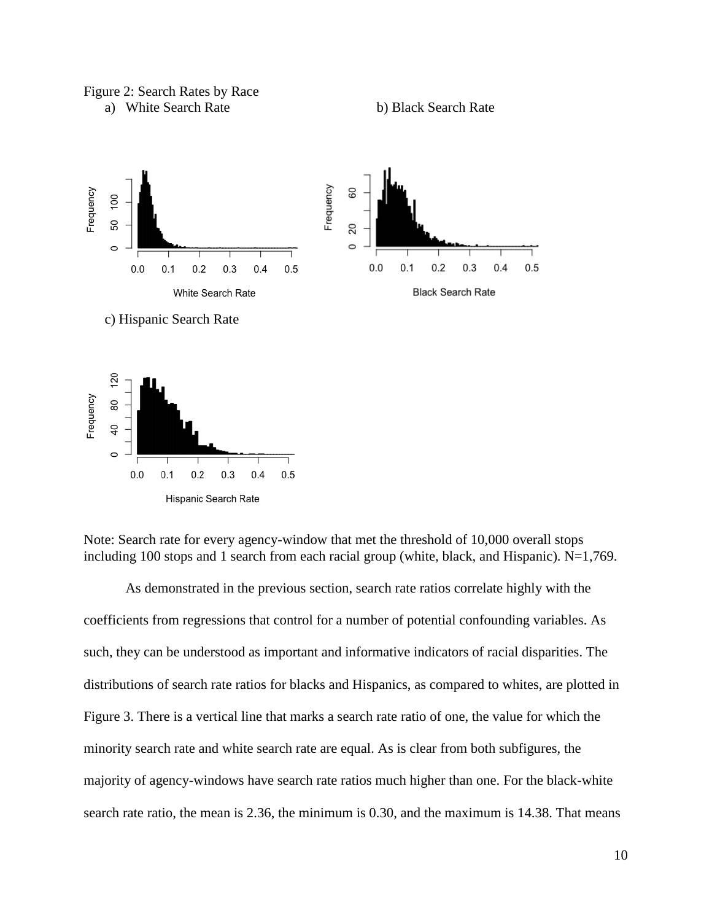### Figure 2: Search Rates by Race









As demonstrated in the previous section, search rate ratios correlate highly with the coefficients from regressions that control for a number of potential confounding variables. As such, they can be understood as important and informative indicators of racial disparities. The distributions of search rate ratios for blacks and Hispanics, as compared to whites, are plotted in Figure 3. There is a vertical line that marks a search rate ratio of one, the value for which the minority search rate and white search rate are equal. As is clear from both subfigures, the majority of agency-windows have search rate ratios much higher than one. For the black-white search rate ratio, the mean is 2.36, the minimum is 0.30, and the maximum is 14.38. That means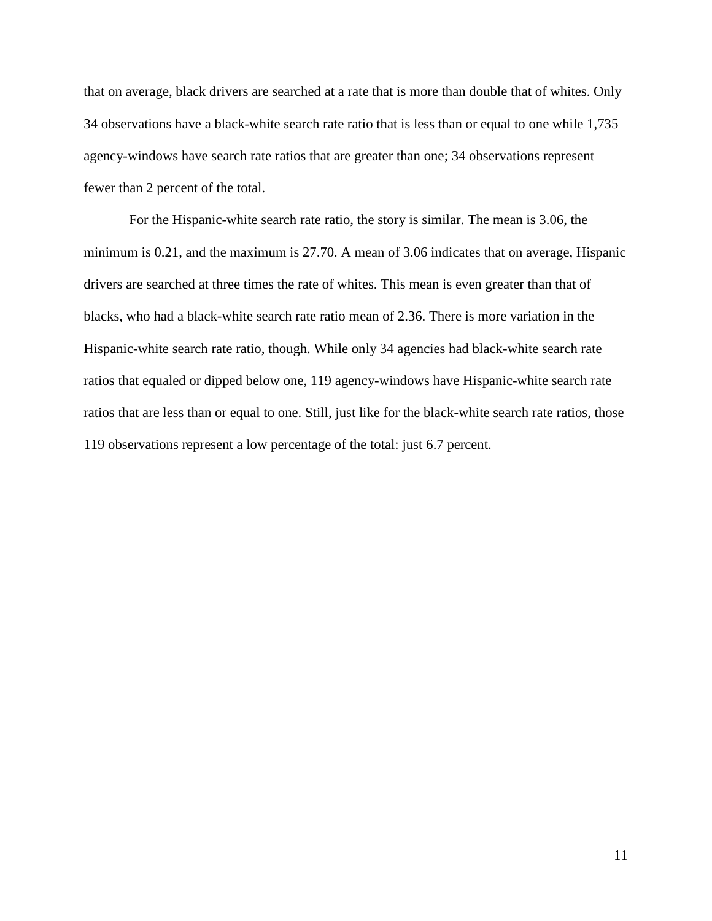that on average, black drivers are searched at a rate that is more than double that of whites. Only 34 observations have a black-white search rate ratio that is less than or equal to one while 1,735 agency-windows have search rate ratios that are greater than one; 34 observations represent fewer than 2 percent of the total.

For the Hispanic-white search rate ratio, the story is similar. The mean is 3.06, the minimum is 0.21, and the maximum is 27.70. A mean of 3.06 indicates that on average, Hispanic drivers are searched at three times the rate of whites. This mean is even greater than that of blacks, who had a black-white search rate ratio mean of 2.36. There is more variation in the Hispanic-white search rate ratio, though. While only 34 agencies had black-white search rate ratios that equaled or dipped below one, 119 agency-windows have Hispanic-white search rate ratios that are less than or equal to one. Still, just like for the black-white search rate ratios, those 119 observations represent a low percentage of the total: just 6.7 percent.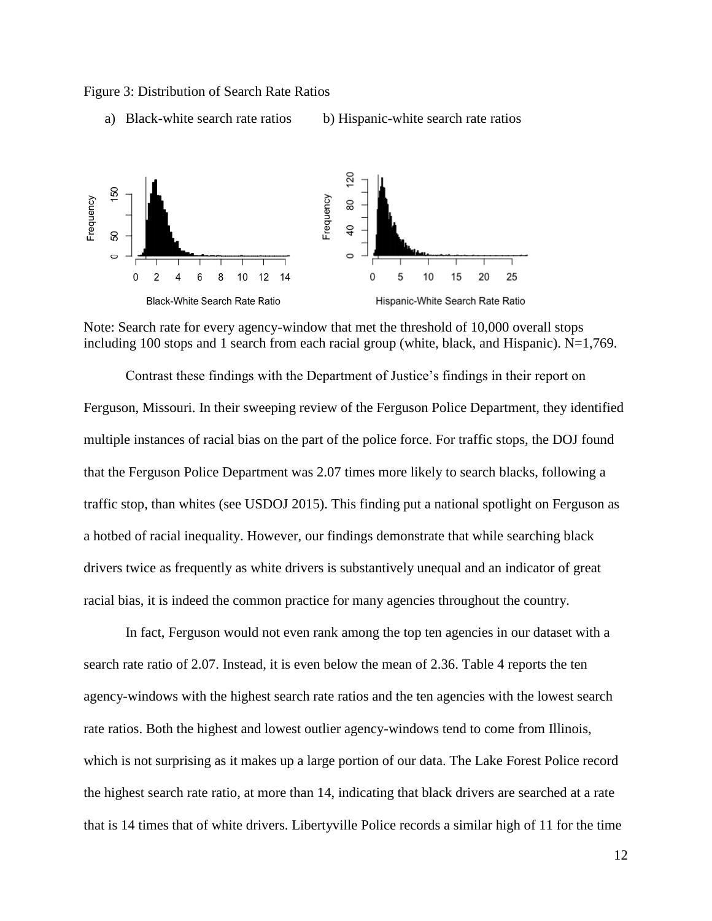

```
a) Black-white search rate ratios b) Hispanic-white search rate ratios
```


Note: Search rate for every agency-window that met the threshold of 10,000 overall stops including 100 stops and 1 search from each racial group (white, black, and Hispanic). N=1,769.

Contrast these findings with the Department of Justice's findings in their report on Ferguson, Missouri. In their sweeping review of the Ferguson Police Department, they identified multiple instances of racial bias on the part of the police force. For traffic stops, the DOJ found that the Ferguson Police Department was 2.07 times more likely to search blacks, following a traffic stop, than whites (see USDOJ 2015). This finding put a national spotlight on Ferguson as a hotbed of racial inequality. However, our findings demonstrate that while searching black drivers twice as frequently as white drivers is substantively unequal and an indicator of great racial bias, it is indeed the common practice for many agencies throughout the country.

In fact, Ferguson would not even rank among the top ten agencies in our dataset with a search rate ratio of 2.07. Instead, it is even below the mean of 2.36. Table 4 reports the ten agency-windows with the highest search rate ratios and the ten agencies with the lowest search rate ratios. Both the highest and lowest outlier agency-windows tend to come from Illinois, which is not surprising as it makes up a large portion of our data. The Lake Forest Police record the highest search rate ratio, at more than 14, indicating that black drivers are searched at a rate that is 14 times that of white drivers. Libertyville Police records a similar high of 11 for the time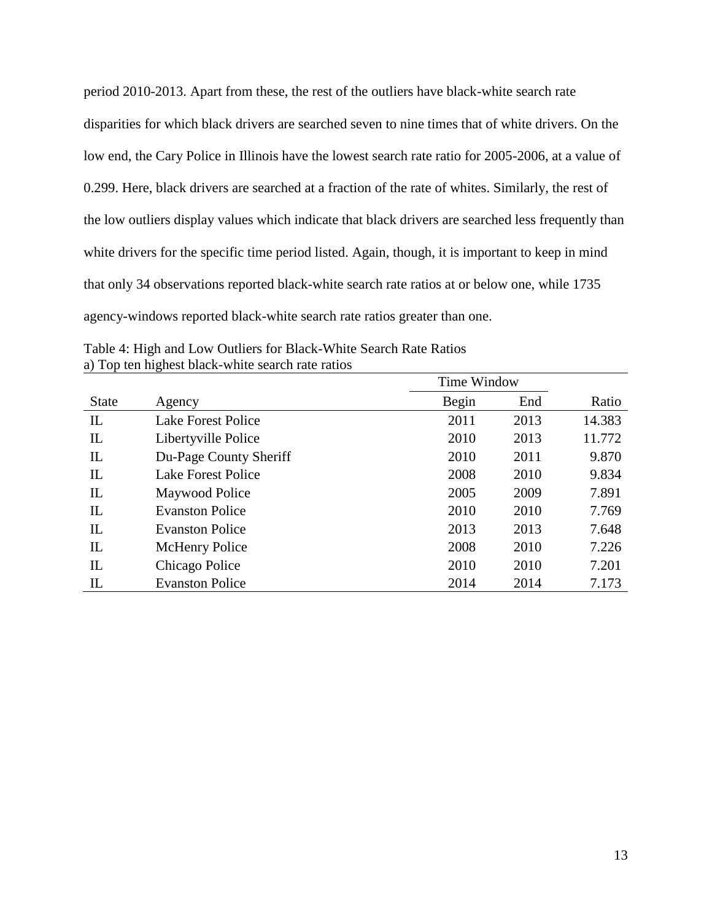period 2010-2013. Apart from these, the rest of the outliers have black-white search rate disparities for which black drivers are searched seven to nine times that of white drivers. On the low end, the Cary Police in Illinois have the lowest search rate ratio for 2005-2006, at a value of 0.299. Here, black drivers are searched at a fraction of the rate of whites. Similarly, the rest of the low outliers display values which indicate that black drivers are searched less frequently than white drivers for the specific time period listed. Again, though, it is important to keep in mind that only 34 observations reported black-white search rate ratios at or below one, while 1735 agency-windows reported black-white search rate ratios greater than one.

|              |                           | Time Window |      |        |
|--------------|---------------------------|-------------|------|--------|
| <b>State</b> | Agency                    | Begin       | End  | Ratio  |
| $\mathbf{L}$ | <b>Lake Forest Police</b> | 2011        | 2013 | 14.383 |
| IL           | Libertyville Police       | 2010        | 2013 | 11.772 |
| IL           | Du-Page County Sheriff    | 2010        | 2011 | 9.870  |
| IL           | Lake Forest Police        | 2008        | 2010 | 9.834  |
| IL           | Maywood Police            | 2005        | 2009 | 7.891  |
| IL           | <b>Evanston Police</b>    | 2010        | 2010 | 7.769  |
| IL           | <b>Evanston Police</b>    | 2013        | 2013 | 7.648  |
| IL           | <b>McHenry Police</b>     | 2008        | 2010 | 7.226  |
| IL           | Chicago Police            | 2010        | 2010 | 7.201  |
| IL           | <b>Evanston Police</b>    | 2014        | 2014 | 7.173  |

Table 4: High and Low Outliers for Black-White Search Rate Ratios a) Top ten highest black-white search rate ratios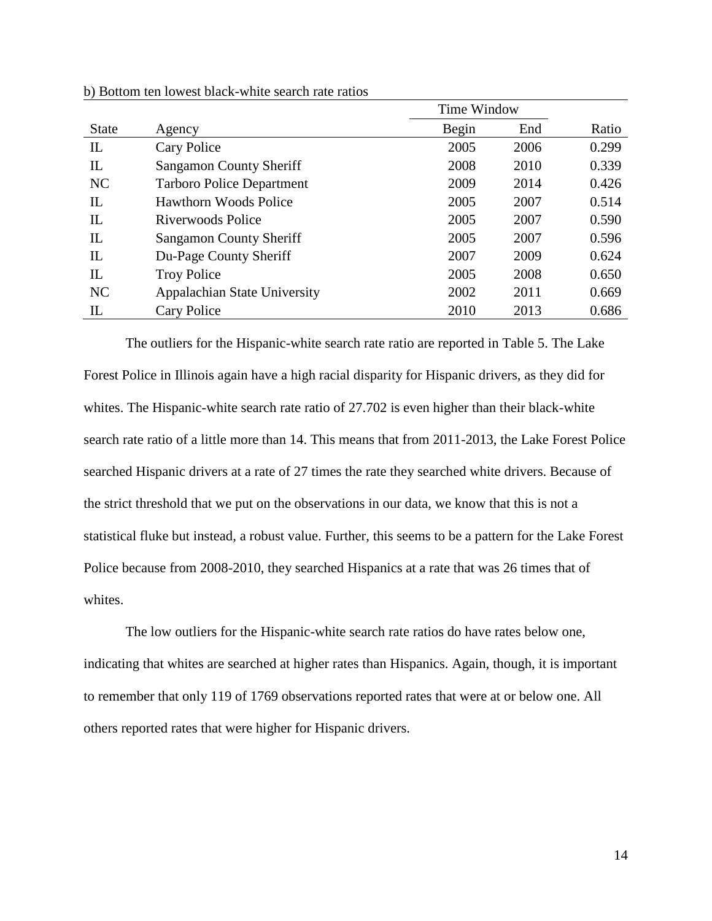|              |                                  | Time Window |      |       |
|--------------|----------------------------------|-------------|------|-------|
| <b>State</b> | Agency                           | Begin       | End  | Ratio |
| IL           | Cary Police                      | 2005        | 2006 | 0.299 |
| IL           | Sangamon County Sheriff          | 2008        | 2010 | 0.339 |
| NC           | <b>Tarboro Police Department</b> | 2009        | 2014 | 0.426 |
| IL           | Hawthorn Woods Police            | 2005        | 2007 | 0.514 |
| IL           | Riverwoods Police                | 2005        | 2007 | 0.590 |
| IL           | <b>Sangamon County Sheriff</b>   | 2005        | 2007 | 0.596 |
| IL           | Du-Page County Sheriff           | 2007        | 2009 | 0.624 |
| $_{\rm IL}$  | <b>Troy Police</b>               | 2005        | 2008 | 0.650 |
| NC           | Appalachian State University     | 2002        | 2011 | 0.669 |
| IL           | <b>Cary Police</b>               | 2010        | 2013 | 0.686 |

b) Bottom ten lowest black-white search rate ratios

The outliers for the Hispanic-white search rate ratio are reported in Table 5. The Lake Forest Police in Illinois again have a high racial disparity for Hispanic drivers, as they did for whites. The Hispanic-white search rate ratio of 27.702 is even higher than their black-white search rate ratio of a little more than 14. This means that from 2011-2013, the Lake Forest Police searched Hispanic drivers at a rate of 27 times the rate they searched white drivers. Because of the strict threshold that we put on the observations in our data, we know that this is not a statistical fluke but instead, a robust value. Further, this seems to be a pattern for the Lake Forest Police because from 2008-2010, they searched Hispanics at a rate that was 26 times that of whites.

The low outliers for the Hispanic-white search rate ratios do have rates below one, indicating that whites are searched at higher rates than Hispanics. Again, though, it is important to remember that only 119 of 1769 observations reported rates that were at or below one. All others reported rates that were higher for Hispanic drivers.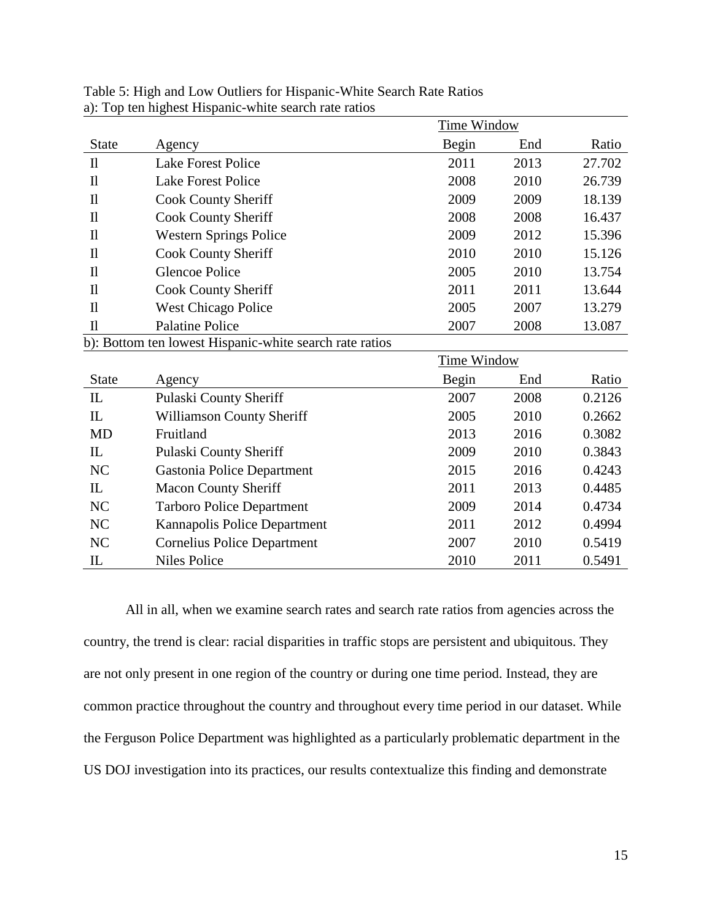|                      |                                                         | Time Window        |      |        |
|----------------------|---------------------------------------------------------|--------------------|------|--------|
| <b>State</b>         | Agency                                                  | <b>Begin</b>       | End  | Ratio  |
| $\mathbf{I}$         | <b>Lake Forest Police</b>                               | 2011               | 2013 | 27.702 |
| $\mathbf{I}$         | <b>Lake Forest Police</b>                               | 2008               | 2010 | 26.739 |
| $\mathbf{I}$         | <b>Cook County Sheriff</b>                              | 2009               | 2009 | 18.139 |
| $\mathbf{I}$         | <b>Cook County Sheriff</b>                              | 2008               | 2008 | 16.437 |
| $\mathbf{I}$         | <b>Western Springs Police</b>                           | 2009               | 2012 | 15.396 |
| $\mathbf{I}$         | <b>Cook County Sheriff</b>                              | 2010               | 2010 | 15.126 |
| $\mathbf{I}$         | <b>Glencoe Police</b>                                   | 2005               | 2010 | 13.754 |
| $\mathbf{I}$         | <b>Cook County Sheriff</b>                              | 2011               | 2011 | 13.644 |
| $\mathbf{I}$         | <b>West Chicago Police</b>                              | 2005               | 2007 | 13.279 |
| $\mathbf{I}$         | <b>Palatine Police</b>                                  | 2007               | 2008 | 13.087 |
|                      | b): Bottom ten lowest Hispanic-white search rate ratios |                    |      |        |
|                      |                                                         | <b>Time Window</b> |      |        |
| <b>State</b>         | Agency                                                  | Begin              | End  | Ratio  |
| $\mathop{\text{IL}}$ | Pulaski County Sheriff                                  | 2007               | 2008 | 0.2126 |
| $_{\rm IL}$          | <b>Williamson County Sheriff</b>                        | 2005               | 2010 | 0.2662 |
| <b>MD</b>            | Fruitland                                               | 2013               | 2016 | 0.3082 |
| $_{\rm IL}$          | Pulaski County Sheriff                                  | 2009               | 2010 | 0.3843 |
| NC                   | Gastonia Police Department                              | 2015               | 2016 | 0.4243 |
| IL                   | <b>Macon County Sheriff</b>                             | 2011               | 2013 | 0.4485 |
| NC                   | <b>Tarboro Police Department</b>                        | 2009               | 2014 | 0.4734 |
| NC                   | Kannapolis Police Department                            | 2011               | 2012 | 0.4994 |
| NC                   | <b>Cornelius Police Department</b>                      | 2007               | 2010 | 0.5419 |
| IL                   | <b>Niles Police</b>                                     | 2010               | 2011 | 0.5491 |

Table 5: High and Low Outliers for Hispanic-White Search Rate Ratios a): Top ten highest Hispanic-white search rate ratios

All in all, when we examine search rates and search rate ratios from agencies across the country, the trend is clear: racial disparities in traffic stops are persistent and ubiquitous. They are not only present in one region of the country or during one time period. Instead, they are common practice throughout the country and throughout every time period in our dataset. While the Ferguson Police Department was highlighted as a particularly problematic department in the US DOJ investigation into its practices, our results contextualize this finding and demonstrate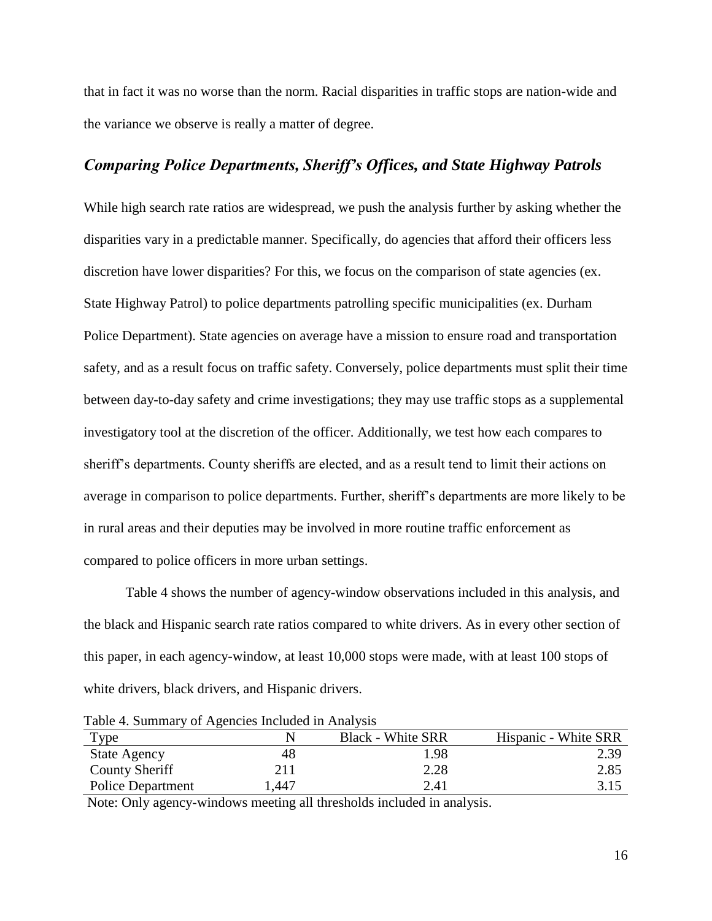that in fact it was no worse than the norm. Racial disparities in traffic stops are nation-wide and the variance we observe is really a matter of degree.

# *Comparing Police Departments, Sheriff's Offices, and State Highway Patrols*

While high search rate ratios are widespread, we push the analysis further by asking whether the disparities vary in a predictable manner. Specifically, do agencies that afford their officers less discretion have lower disparities? For this, we focus on the comparison of state agencies (ex. State Highway Patrol) to police departments patrolling specific municipalities (ex. Durham Police Department). State agencies on average have a mission to ensure road and transportation safety, and as a result focus on traffic safety. Conversely, police departments must split their time between day-to-day safety and crime investigations; they may use traffic stops as a supplemental investigatory tool at the discretion of the officer. Additionally, we test how each compares to sheriff's departments. County sheriffs are elected, and as a result tend to limit their actions on average in comparison to police departments. Further, sheriff's departments are more likely to be in rural areas and their deputies may be involved in more routine traffic enforcement as compared to police officers in more urban settings.

Table 4 shows the number of agency-window observations included in this analysis, and the black and Hispanic search rate ratios compared to white drivers. As in every other section of this paper, in each agency-window, at least 10,000 stops were made, with at least 100 stops of white drivers, black drivers, and Hispanic drivers.

Table 4. Summary of Agencies Included in Analysis

| Type                     |      | <b>Black - White SRR</b> | Hispanic - White SRR |
|--------------------------|------|--------------------------|----------------------|
| <b>State Agency</b>      | 48   | 1.98                     | 2.39                 |
| County Sheriff           | 211  | 2.28                     | 2.85                 |
| <b>Police Department</b> | .447 | 2.41                     | 3.15                 |

Note: Only agency-windows meeting all thresholds included in analysis.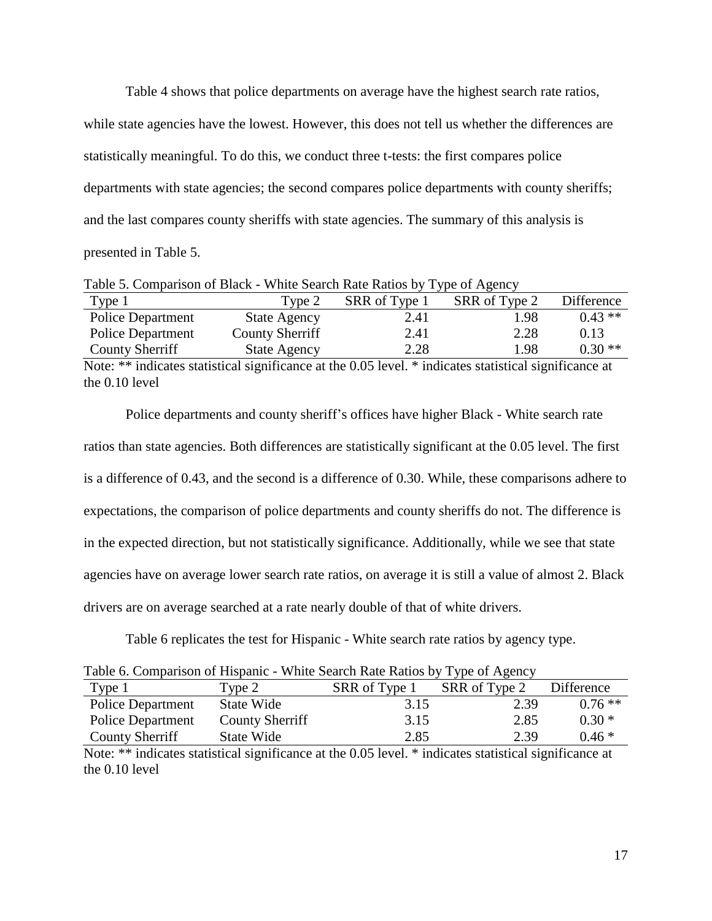Table 4 shows that police departments on average have the highest search rate ratios, while state agencies have the lowest. However, this does not tell us whether the differences are statistically meaningful. To do this, we conduct three t-tests: the first compares police departments with state agencies; the second compares police departments with county sheriffs; and the last compares county sheriffs with state agencies. The summary of this analysis is presented in Table 5.

| Type 1                   | Type 2              | SRR of Type 1 | SRR of Type 2 | Difference |
|--------------------------|---------------------|---------------|---------------|------------|
| <b>Police Department</b> | <b>State Agency</b> | 2.41          | 1.98          | $0.43**$   |
| <b>Police Department</b> | County Sherriff     | 2.41          | 2.28          | 0.13       |
| County Sherriff          | <b>State Agency</b> | 2.28          | 1.98          | $0.30**$   |

Note: \*\* indicates statistical significance at the 0.05 level. \* indicates statistical significance at the 0.10 level

Police departments and county sheriff's offices have higher Black - White search rate ratios than state agencies. Both differences are statistically significant at the 0.05 level. The first is a difference of 0.43, and the second is a difference of 0.30. While, these comparisons adhere to expectations, the comparison of police departments and county sheriffs do not. The difference is in the expected direction, but not statistically significance. Additionally, while we see that state agencies have on average lower search rate ratios, on average it is still a value of almost 2. Black drivers are on average searched at a rate nearly double of that of white drivers.

Table 6 replicates the test for Hispanic - White search rate ratios by agency type.

|  | Table 6. Comparison of Hispanic - White Search Rate Ratios by Type of Agency |  |  |  |  |  |  |  |  |  |
|--|------------------------------------------------------------------------------|--|--|--|--|--|--|--|--|--|
|--|------------------------------------------------------------------------------|--|--|--|--|--|--|--|--|--|

| Type 1                   | Type 2                 | SRR of Type 1 | SRR of Type 2 | Difference |
|--------------------------|------------------------|---------------|---------------|------------|
| <b>Police Department</b> | State Wide             | 3.15          | 2.39          | $0.76$ **  |
| <b>Police Department</b> | <b>County Sherriff</b> | 3.15          | 2.85          | $0.30*$    |
| County Sherriff          | State Wide             | 2.85          | 2.39          | $0.46*$    |

Note: \*\* indicates statistical significance at the 0.05 level. \* indicates statistical significance at the 0.10 level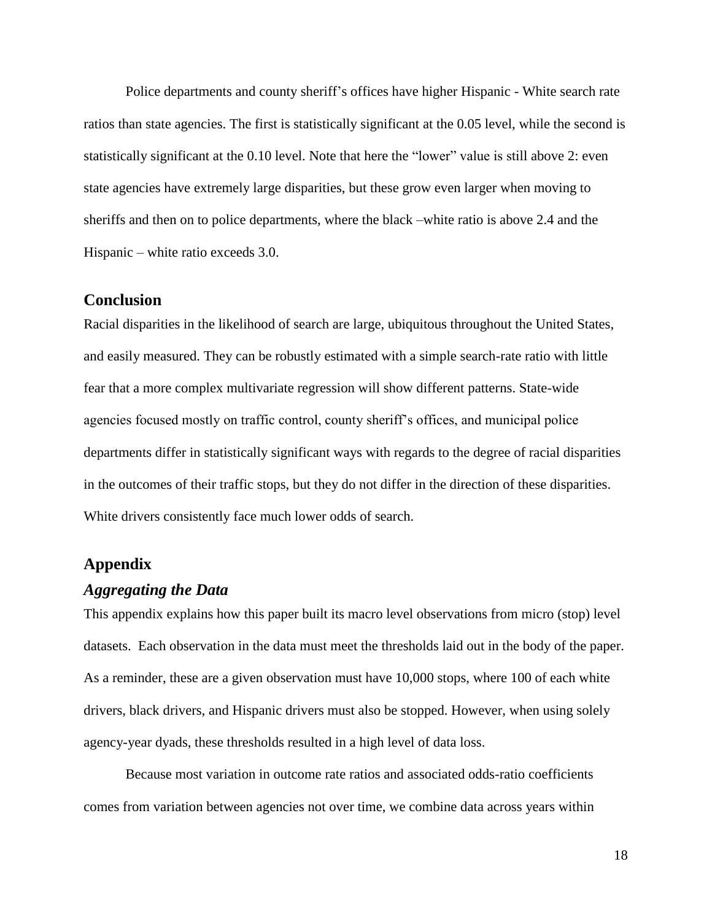Police departments and county sheriff's offices have higher Hispanic - White search rate ratios than state agencies. The first is statistically significant at the 0.05 level, while the second is statistically significant at the 0.10 level. Note that here the "lower" value is still above 2: even state agencies have extremely large disparities, but these grow even larger when moving to sheriffs and then on to police departments, where the black –white ratio is above 2.4 and the Hispanic – white ratio exceeds 3.0.

### **Conclusion**

Racial disparities in the likelihood of search are large, ubiquitous throughout the United States, and easily measured. They can be robustly estimated with a simple search-rate ratio with little fear that a more complex multivariate regression will show different patterns. State-wide agencies focused mostly on traffic control, county sheriff's offices, and municipal police departments differ in statistically significant ways with regards to the degree of racial disparities in the outcomes of their traffic stops, but they do not differ in the direction of these disparities. White drivers consistently face much lower odds of search.

## **Appendix**

## *Aggregating the Data*

This appendix explains how this paper built its macro level observations from micro (stop) level datasets. Each observation in the data must meet the thresholds laid out in the body of the paper. As a reminder, these are a given observation must have 10,000 stops, where 100 of each white drivers, black drivers, and Hispanic drivers must also be stopped. However, when using solely agency-year dyads, these thresholds resulted in a high level of data loss.

Because most variation in outcome rate ratios and associated odds-ratio coefficients comes from variation between agencies not over time, we combine data across years within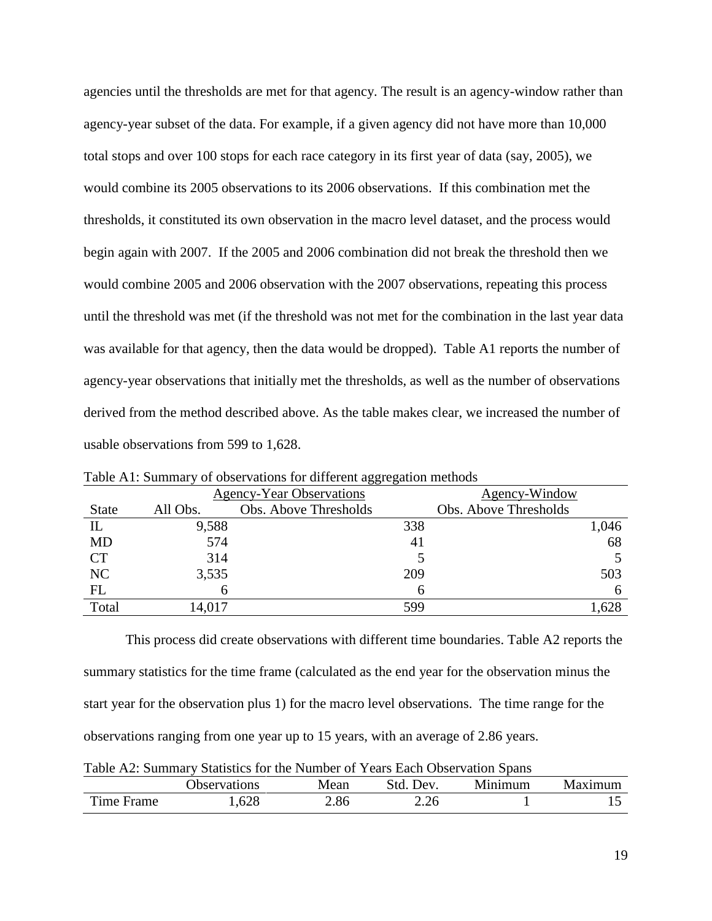agencies until the thresholds are met for that agency. The result is an agency-window rather than agency-year subset of the data. For example, if a given agency did not have more than 10,000 total stops and over 100 stops for each race category in its first year of data (say, 2005), we would combine its 2005 observations to its 2006 observations. If this combination met the thresholds, it constituted its own observation in the macro level dataset, and the process would begin again with 2007. If the 2005 and 2006 combination did not break the threshold then we would combine 2005 and 2006 observation with the 2007 observations, repeating this process until the threshold was met (if the threshold was not met for the combination in the last year data was available for that agency, then the data would be dropped). Table A1 reports the number of agency-year observations that initially met the thresholds, as well as the number of observations derived from the method described above. As the table makes clear, we increased the number of usable observations from 599 to 1,628.

|              | <b>Agency-Year Observations</b> |                       | Agency-Window         |  |
|--------------|---------------------------------|-----------------------|-----------------------|--|
| <b>State</b> | All Obs.                        | Obs. Above Thresholds | Obs. Above Thresholds |  |
| $_{\rm IL}$  | 9,588                           |                       | 338<br>1,046          |  |
| <b>MD</b>    | 574                             |                       | 68<br>41              |  |
| <b>CT</b>    | 314                             |                       |                       |  |
| NC           | 3,535                           |                       | 209<br>503            |  |
| FL           |                                 |                       | h                     |  |
| Total        | 14,017                          |                       | 1,628<br>599          |  |

Table A1: Summary of observations for different aggregation methods

This process did create observations with different time boundaries. Table A2 reports the summary statistics for the time frame (calculated as the end year for the observation minus the start year for the observation plus 1) for the macro level observations. The time range for the observations ranging from one year up to 15 years, with an average of 2.86 years.

|  |  | Table A2: Summary Statistics for the Number of Years Each Observation Spans |  |  |  |
|--|--|-----------------------------------------------------------------------------|--|--|--|
|--|--|-----------------------------------------------------------------------------|--|--|--|

|                    | <b>Observations</b> | Mean | Dev.         | Minimum | <b>Maximum</b> |
|--------------------|---------------------|------|--------------|---------|----------------|
| m<br>'ime<br>Frame | ,628                | 2.86 | ን ን6<br>2.ZU |         | ∸              |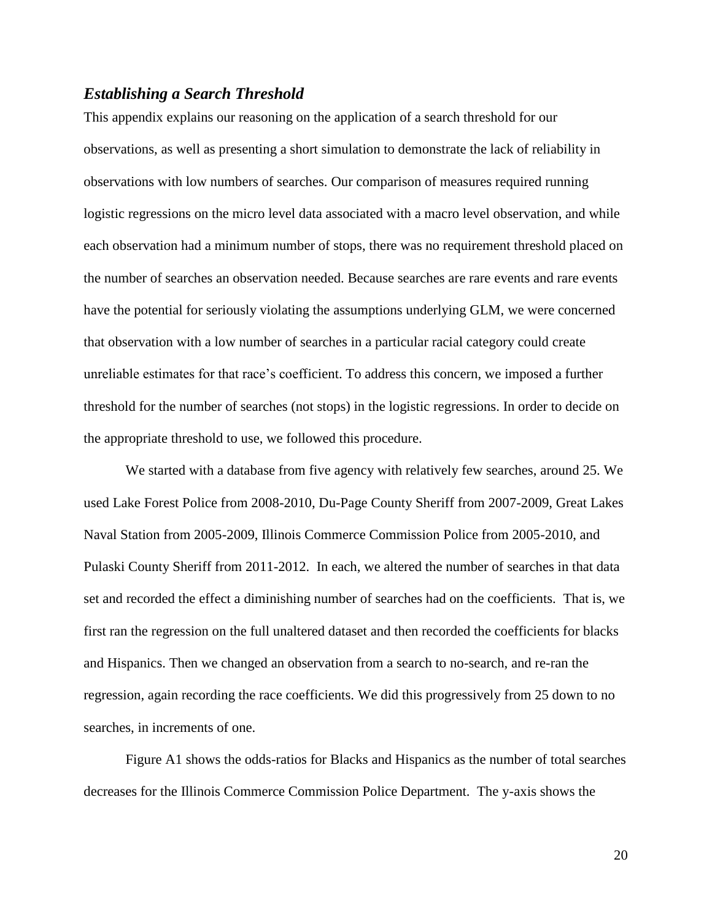### *Establishing a Search Threshold*

This appendix explains our reasoning on the application of a search threshold for our observations, as well as presenting a short simulation to demonstrate the lack of reliability in observations with low numbers of searches. Our comparison of measures required running logistic regressions on the micro level data associated with a macro level observation, and while each observation had a minimum number of stops, there was no requirement threshold placed on the number of searches an observation needed. Because searches are rare events and rare events have the potential for seriously violating the assumptions underlying GLM, we were concerned that observation with a low number of searches in a particular racial category could create unreliable estimates for that race's coefficient. To address this concern, we imposed a further threshold for the number of searches (not stops) in the logistic regressions. In order to decide on the appropriate threshold to use, we followed this procedure.

We started with a database from five agency with relatively few searches, around 25. We used Lake Forest Police from 2008-2010, Du-Page County Sheriff from 2007-2009, Great Lakes Naval Station from 2005-2009, Illinois Commerce Commission Police from 2005-2010, and Pulaski County Sheriff from 2011-2012. In each, we altered the number of searches in that data set and recorded the effect a diminishing number of searches had on the coefficients. That is, we first ran the regression on the full unaltered dataset and then recorded the coefficients for blacks and Hispanics. Then we changed an observation from a search to no-search, and re-ran the regression, again recording the race coefficients. We did this progressively from 25 down to no searches, in increments of one.

Figure A1 shows the odds-ratios for Blacks and Hispanics as the number of total searches decreases for the Illinois Commerce Commission Police Department. The y-axis shows the

20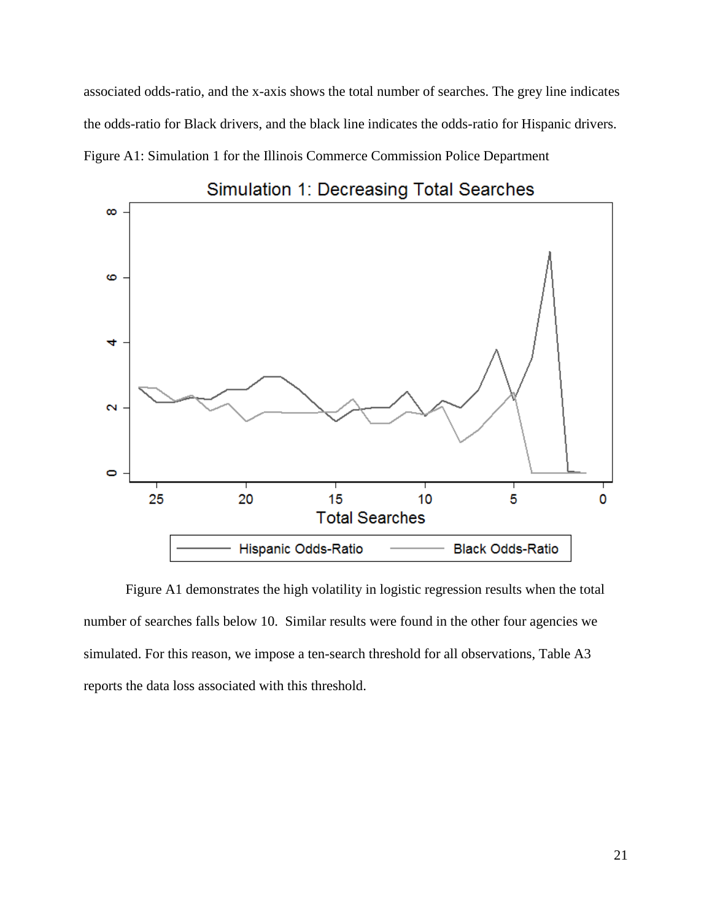associated odds-ratio, and the x-axis shows the total number of searches. The grey line indicates the odds-ratio for Black drivers, and the black line indicates the odds-ratio for Hispanic drivers. Figure A1: Simulation 1 for the Illinois Commerce Commission Police Department



Simulation 1: Decreasing Total Searches

Figure A1 demonstrates the high volatility in logistic regression results when the total number of searches falls below 10. Similar results were found in the other four agencies we simulated. For this reason, we impose a ten-search threshold for all observations, Table A3 reports the data loss associated with this threshold.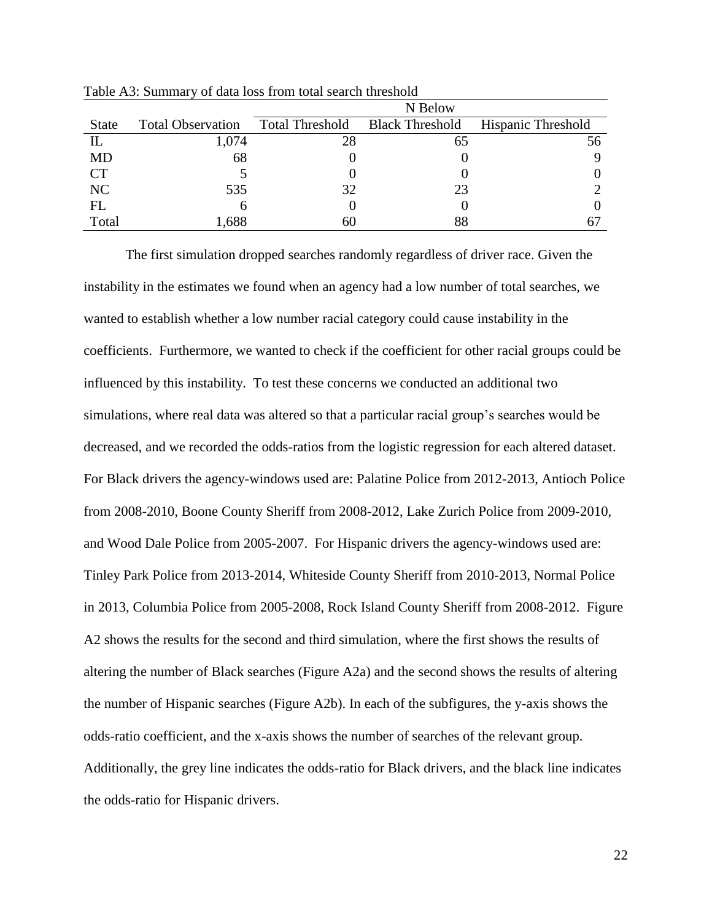|              |                          | N Below                |                        |                           |  |
|--------------|--------------------------|------------------------|------------------------|---------------------------|--|
| <b>State</b> | <b>Total Observation</b> | <b>Total Threshold</b> | <b>Black Threshold</b> | <b>Hispanic Threshold</b> |  |
| IL           | 1,074                    | 28                     | 65                     | 56                        |  |
| <b>MD</b>    | 68                       |                        |                        |                           |  |
| <b>CT</b>    |                          |                        |                        |                           |  |
| NC           | 535                      | 32                     | 23                     |                           |  |
| FL           | h                        |                        |                        |                           |  |
| Total        | .688                     | 60                     | 88                     |                           |  |

Table A3: Summary of data loss from total search threshold

The first simulation dropped searches randomly regardless of driver race. Given the instability in the estimates we found when an agency had a low number of total searches, we wanted to establish whether a low number racial category could cause instability in the coefficients. Furthermore, we wanted to check if the coefficient for other racial groups could be influenced by this instability. To test these concerns we conducted an additional two simulations, where real data was altered so that a particular racial group's searches would be decreased, and we recorded the odds-ratios from the logistic regression for each altered dataset. For Black drivers the agency-windows used are: Palatine Police from 2012-2013, Antioch Police from 2008-2010, Boone County Sheriff from 2008-2012, Lake Zurich Police from 2009-2010, and Wood Dale Police from 2005-2007. For Hispanic drivers the agency-windows used are: Tinley Park Police from 2013-2014, Whiteside County Sheriff from 2010-2013, Normal Police in 2013, Columbia Police from 2005-2008, Rock Island County Sheriff from 2008-2012. Figure A2 shows the results for the second and third simulation, where the first shows the results of altering the number of Black searches (Figure A2a) and the second shows the results of altering the number of Hispanic searches (Figure A2b). In each of the subfigures, the y-axis shows the odds-ratio coefficient, and the x-axis shows the number of searches of the relevant group. Additionally, the grey line indicates the odds-ratio for Black drivers, and the black line indicates the odds-ratio for Hispanic drivers.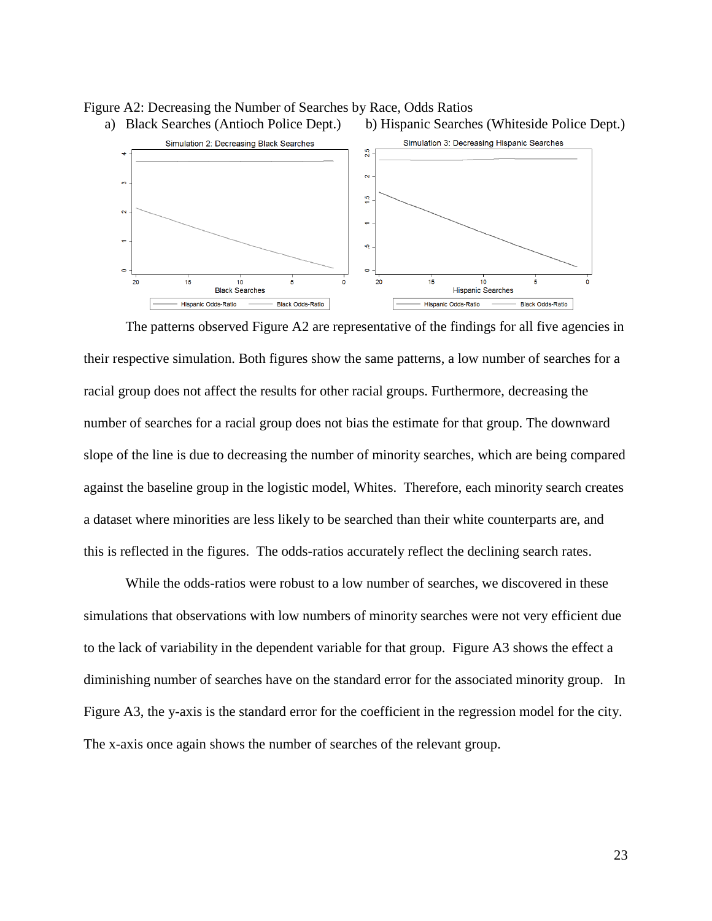

 $\leftarrow$ 

io,

 $\bullet$ 

 $\overline{20}$ 

 $15$ 

Hispanic Odds-Ratio

 $10$ 

**Hispanic Searches** 

 $\overline{5}$ 

**Black Odds-Ratio** 

 $\ddot{\mathbf{o}}$ 

 $\overline{a}$ 



s

Black Odds-Ratio

 $\overline{\mathbf{N}}$ 

 $\bullet$  $\overline{20}$ 

 $15$ 

Hispanic Odds-Ratio

 $10$ 

**Black Searches** 

The patterns observed Figure A2 are representative of the findings for all five agencies in their respective simulation. Both figures show the same patterns, a low number of searches for a racial group does not affect the results for other racial groups. Furthermore, decreasing the number of searches for a racial group does not bias the estimate for that group. The downward slope of the line is due to decreasing the number of minority searches, which are being compared against the baseline group in the logistic model, Whites. Therefore, each minority search creates a dataset where minorities are less likely to be searched than their white counterparts are, and this is reflected in the figures. The odds-ratios accurately reflect the declining search rates.

While the odds-ratios were robust to a low number of searches, we discovered in these simulations that observations with low numbers of minority searches were not very efficient due to the lack of variability in the dependent variable for that group. Figure A3 shows the effect a diminishing number of searches have on the standard error for the associated minority group. In Figure A3, the y-axis is the standard error for the coefficient in the regression model for the city. The x-axis once again shows the number of searches of the relevant group.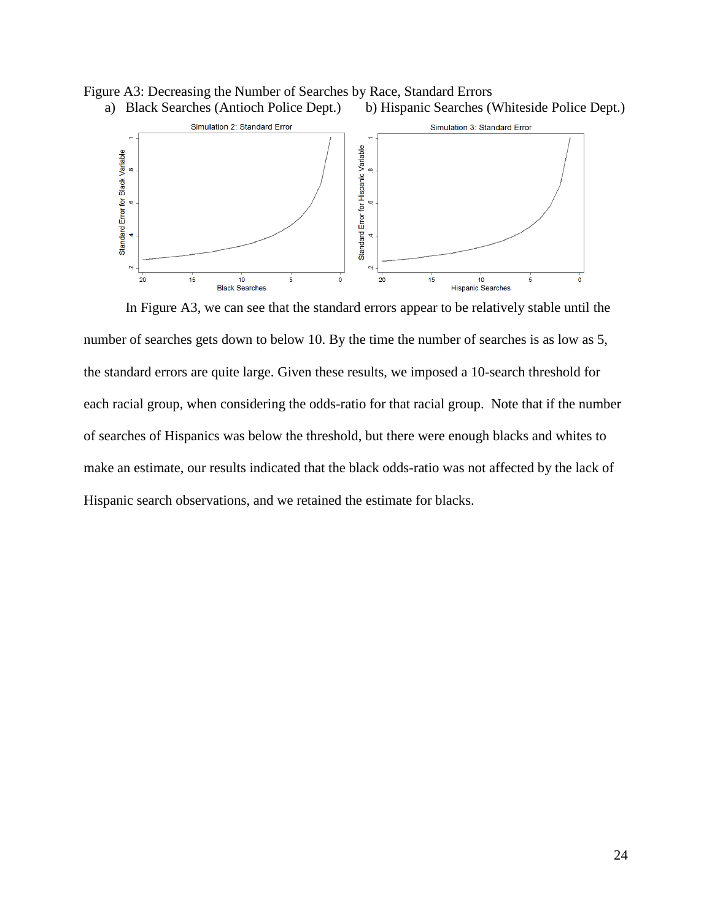



In Figure A3, we can see that the standard errors appear to be relatively stable until the number of searches gets down to below 10. By the time the number of searches is as low as 5, the standard errors are quite large. Given these results, we imposed a 10-search threshold for each racial group, when considering the odds-ratio for that racial group. Note that if the number of searches of Hispanics was below the threshold, but there were enough blacks and whites to make an estimate, our results indicated that the black odds-ratio was not affected by the lack of Hispanic search observations, and we retained the estimate for blacks.